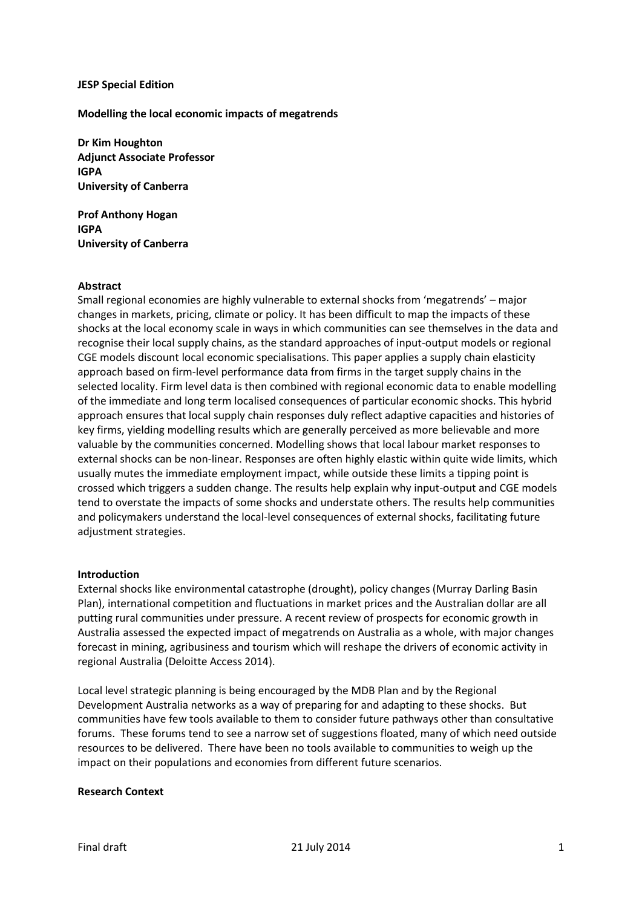### **JESP Special Edition**

### **Modelling the local economic impacts of megatrends**

**Dr Kim Houghton Adjunct Associate Professor IGPA University of Canberra**

**Prof Anthony Hogan IGPA University of Canberra**

### **Abstract**

Small regional economies are highly vulnerable to external shocks from 'megatrends' – major changes in markets, pricing, climate or policy. It has been difficult to map the impacts of these shocks at the local economy scale in ways in which communities can see themselves in the data and recognise their local supply chains, as the standard approaches of input-output models or regional CGE models discount local economic specialisations. This paper applies a supply chain elasticity approach based on firm-level performance data from firms in the target supply chains in the selected locality. Firm level data is then combined with regional economic data to enable modelling of the immediate and long term localised consequences of particular economic shocks. This hybrid approach ensures that local supply chain responses duly reflect adaptive capacities and histories of key firms, yielding modelling results which are generally perceived as more believable and more valuable by the communities concerned. Modelling shows that local labour market responses to external shocks can be non-linear. Responses are often highly elastic within quite wide limits, which usually mutes the immediate employment impact, while outside these limits a tipping point is crossed which triggers a sudden change. The results help explain why input-output and CGE models tend to overstate the impacts of some shocks and understate others. The results help communities and policymakers understand the local-level consequences of external shocks, facilitating future adjustment strategies.

### **Introduction**

External shocks like environmental catastrophe (drought), policy changes (Murray Darling Basin Plan), international competition and fluctuations in market prices and the Australian dollar are all putting rural communities under pressure. A recent review of prospects for economic growth in Australia assessed the expected impact of megatrends on Australia as a whole, with major changes forecast in mining, agribusiness and tourism which will reshape the drivers of economic activity in regional Australia (Deloitte Access 2014).

Local level strategic planning is being encouraged by the MDB Plan and by the Regional Development Australia networks as a way of preparing for and adapting to these shocks. But communities have few tools available to them to consider future pathways other than consultative forums. These forums tend to see a narrow set of suggestions floated, many of which need outside resources to be delivered. There have been no tools available to communities to weigh up the impact on their populations and economies from different future scenarios.

### **Research Context**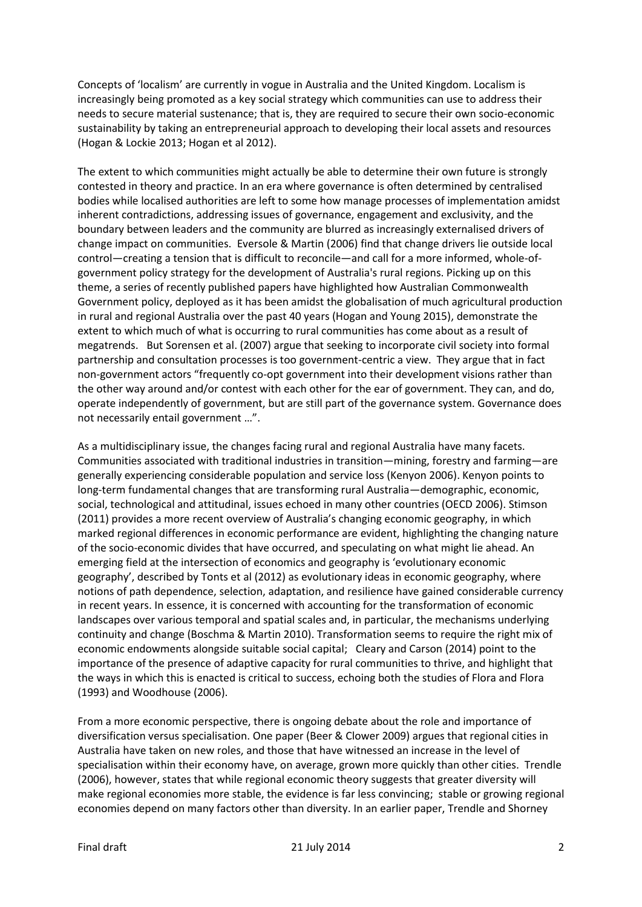Concepts of 'localism' are currently in vogue in Australia and the United Kingdom. Localism is increasingly being promoted as a key social strategy which communities can use to address their needs to secure material sustenance; that is, they are required to secure their own socio-economic sustainability by taking an entrepreneurial approach to developing their local assets and resources (Hogan & Lockie 2013; Hogan et al 2012).

The extent to which communities might actually be able to determine their own future is strongly contested in theory and practice. In an era where governance is often determined by centralised bodies while localised authorities are left to some how manage processes of implementation amidst inherent contradictions, addressing issues of governance, engagement and exclusivity, and the boundary between leaders and the community are blurred as increasingly externalised drivers of change impact on communities. Eversole & Martin (2006) find that change drivers lie outside local control—creating a tension that is difficult to reconcile—and call for a more informed, whole-ofgovernment policy strategy for the development of Australia's rural regions. Picking up on this theme, a series of recently published papers have highlighted how Australian Commonwealth Government policy, deployed as it has been amidst the globalisation of much agricultural production in rural and regional Australia over the past 40 years (Hogan and Young 2015), demonstrate the extent to which much of what is occurring to rural communities has come about as a result of megatrends. But Sorensen et al. (2007) argue that seeking to incorporate civil society into formal partnership and consultation processes is too government-centric a view. They argue that in fact non-government actors "frequently co-opt government into their development visions rather than the other way around and/or contest with each other for the ear of government. They can, and do, operate independently of government, but are still part of the governance system. Governance does not necessarily entail government …".

As a multidisciplinary issue, the changes facing rural and regional Australia have many facets. Communities associated with traditional industries in transition—mining, forestry and farming—are generally experiencing considerable population and service loss (Kenyon 2006). Kenyon points to long-term fundamental changes that are transforming rural Australia—demographic, economic, social, technological and attitudinal, issues echoed in many other countries (OECD 2006). Stimson (2011) provides a more recent overview of Australia's changing economic geography, in which marked regional differences in economic performance are evident, highlighting the changing nature of the socio-economic divides that have occurred, and speculating on what might lie ahead. An emerging field at the intersection of economics and geography is 'evolutionary economic geography', described by Tonts et al (2012) as evolutionary ideas in economic geography, where notions of path dependence, selection, adaptation, and resilience have gained considerable currency in recent years. In essence, it is concerned with accounting for the transformation of economic landscapes over various temporal and spatial scales and, in particular, the mechanisms underlying continuity and change (Boschma & Martin 2010). Transformation seems to require the right mix of economic endowments alongside suitable social capital; Cleary and Carson (2014) point to the importance of the presence of adaptive capacity for rural communities to thrive, and highlight that the ways in which this is enacted is critical to success, echoing both the studies of Flora and Flora (1993) and Woodhouse (2006).

From a more economic perspective, there is ongoing debate about the role and importance of diversification versus specialisation. One paper (Beer & Clower 2009) argues that regional cities in Australia have taken on new roles, and those that have witnessed an increase in the level of specialisation within their economy have, on average, grown more quickly than other cities. Trendle (2006), however, states that while regional economic theory suggests that greater diversity will make regional economies more stable, the evidence is far less convincing; stable or growing regional economies depend on many factors other than diversity. In an earlier paper, Trendle and Shorney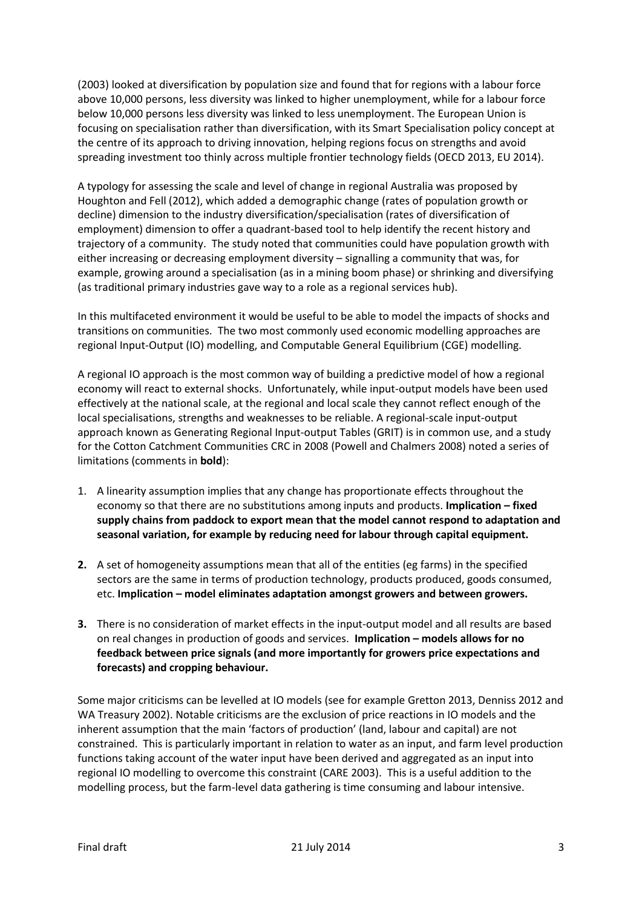(2003) looked at diversification by population size and found that for regions with a labour force above 10,000 persons, less diversity was linked to higher unemployment, while for a labour force below 10,000 persons less diversity was linked to less unemployment. The European Union is focusing on specialisation rather than diversification, with its Smart Specialisation policy concept at the centre of its approach to driving innovation, helping regions focus on strengths and avoid spreading investment too thinly across multiple frontier technology fields (OECD 2013, EU 2014).

A typology for assessing the scale and level of change in regional Australia was proposed by Houghton and Fell (2012), which added a demographic change (rates of population growth or decline) dimension to the industry diversification/specialisation (rates of diversification of employment) dimension to offer a quadrant-based tool to help identify the recent history and trajectory of a community. The study noted that communities could have population growth with either increasing or decreasing employment diversity – signalling a community that was, for example, growing around a specialisation (as in a mining boom phase) or shrinking and diversifying (as traditional primary industries gave way to a role as a regional services hub).

In this multifaceted environment it would be useful to be able to model the impacts of shocks and transitions on communities. The two most commonly used economic modelling approaches are regional Input-Output (IO) modelling, and Computable General Equilibrium (CGE) modelling.

A regional IO approach is the most common way of building a predictive model of how a regional economy will react to external shocks. Unfortunately, while input-output models have been used effectively at the national scale, at the regional and local scale they cannot reflect enough of the local specialisations, strengths and weaknesses to be reliable. A regional-scale input-output approach known as Generating Regional Input-output Tables (GRIT) is in common use, and a study for the Cotton Catchment Communities CRC in 2008 (Powell and Chalmers 2008) noted a series of limitations (comments in **bold**):

- 1. A linearity assumption implies that any change has proportionate effects throughout the economy so that there are no substitutions among inputs and products. **Implication – fixed supply chains from paddock to export mean that the model cannot respond to adaptation and seasonal variation, for example by reducing need for labour through capital equipment.**
- **2.** A set of homogeneity assumptions mean that all of the entities (eg farms) in the specified sectors are the same in terms of production technology, products produced, goods consumed, etc. **Implication – model eliminates adaptation amongst growers and between growers.**
- **3.** There is no consideration of market effects in the input-output model and all results are based on real changes in production of goods and services. **Implication – models allows for no feedback between price signals (and more importantly for growers price expectations and forecasts) and cropping behaviour.**

Some major criticisms can be levelled at IO models (see for example Gretton 2013, Denniss 2012 and WA Treasury 2002). Notable criticisms are the exclusion of price reactions in IO models and the inherent assumption that the main 'factors of production' (land, labour and capital) are not constrained. This is particularly important in relation to water as an input, and farm level production functions taking account of the water input have been derived and aggregated as an input into regional IO modelling to overcome this constraint (CARE 2003). This is a useful addition to the modelling process, but the farm-level data gathering is time consuming and labour intensive.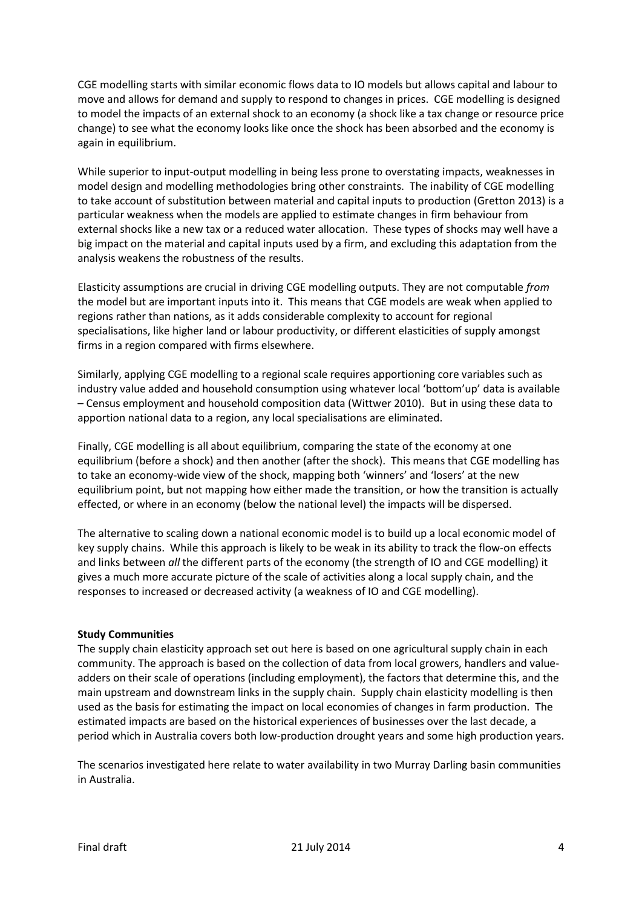CGE modelling starts with similar economic flows data to IO models but allows capital and labour to move and allows for demand and supply to respond to changes in prices. CGE modelling is designed to model the impacts of an external shock to an economy (a shock like a tax change or resource price change) to see what the economy looks like once the shock has been absorbed and the economy is again in equilibrium.

While superior to input-output modelling in being less prone to overstating impacts, weaknesses in model design and modelling methodologies bring other constraints. The inability of CGE modelling to take account of substitution between material and capital inputs to production (Gretton 2013) is a particular weakness when the models are applied to estimate changes in firm behaviour from external shocks like a new tax or a reduced water allocation. These types of shocks may well have a big impact on the material and capital inputs used by a firm, and excluding this adaptation from the analysis weakens the robustness of the results.

Elasticity assumptions are crucial in driving CGE modelling outputs. They are not computable *from* the model but are important inputs into it. This means that CGE models are weak when applied to regions rather than nations, as it adds considerable complexity to account for regional specialisations, like higher land or labour productivity, or different elasticities of supply amongst firms in a region compared with firms elsewhere.

Similarly, applying CGE modelling to a regional scale requires apportioning core variables such as industry value added and household consumption using whatever local 'bottom'up' data is available – Census employment and household composition data (Wittwer 2010). But in using these data to apportion national data to a region, any local specialisations are eliminated.

Finally, CGE modelling is all about equilibrium, comparing the state of the economy at one equilibrium (before a shock) and then another (after the shock). This means that CGE modelling has to take an economy-wide view of the shock, mapping both 'winners' and 'losers' at the new equilibrium point, but not mapping how either made the transition, or how the transition is actually effected, or where in an economy (below the national level) the impacts will be dispersed.

The alternative to scaling down a national economic model is to build up a local economic model of key supply chains. While this approach is likely to be weak in its ability to track the flow-on effects and links between *all* the different parts of the economy (the strength of IO and CGE modelling) it gives a much more accurate picture of the scale of activities along a local supply chain, and the responses to increased or decreased activity (a weakness of IO and CGE modelling).

### **Study Communities**

The supply chain elasticity approach set out here is based on one agricultural supply chain in each community. The approach is based on the collection of data from local growers, handlers and valueadders on their scale of operations (including employment), the factors that determine this, and the main upstream and downstream links in the supply chain. Supply chain elasticity modelling is then used as the basis for estimating the impact on local economies of changes in farm production. The estimated impacts are based on the historical experiences of businesses over the last decade, a period which in Australia covers both low-production drought years and some high production years.

The scenarios investigated here relate to water availability in two Murray Darling basin communities in Australia.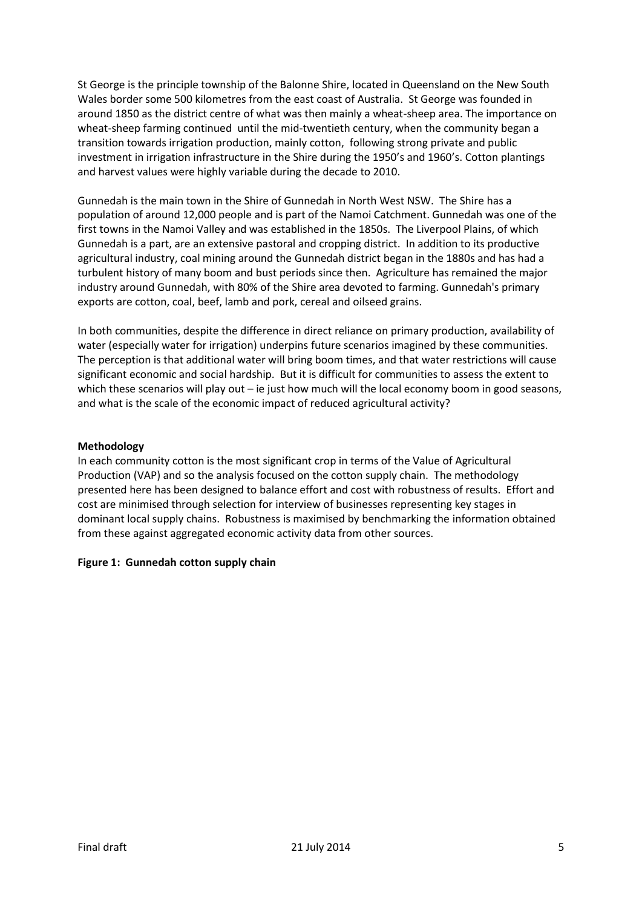St George is the principle township of the Balonne Shire, located in Queensland on the New South Wales border some 500 kilometres from the east coast of Australia. St George was founded in around 1850 as the district centre of what was then mainly a wheat-sheep area. The importance on wheat-sheep farming continued until the mid-twentieth century, when the community began a transition towards irrigation production, mainly cotton, following strong private and public investment in irrigation infrastructure in the Shire during the 1950's and 1960's. Cotton plantings and harvest values were highly variable during the decade to 2010.

Gunnedah is the main town in the Shire of Gunnedah in North West NSW. The Shire has a population of around 12,000 people and is part of the Namoi Catchment. Gunnedah was one of the first towns in the Namoi Valley and was established in the 1850s. The Liverpool Plains, of which Gunnedah is a part, are an extensive pastoral and cropping district. In addition to its productive agricultural industry, coal mining around the Gunnedah district began in the 1880s and has had a turbulent history of many boom and bust periods since then. Agriculture has remained the major industry around Gunnedah, with 80% of the Shire area devoted to farming. Gunnedah's primary exports are cotton, coal, beef, lamb and pork, cereal and oilseed grains.

In both communities, despite the difference in direct reliance on primary production, availability of water (especially water for irrigation) underpins future scenarios imagined by these communities. The perception is that additional water will bring boom times, and that water restrictions will cause significant economic and social hardship. But it is difficult for communities to assess the extent to which these scenarios will play out – ie just how much will the local economy boom in good seasons, and what is the scale of the economic impact of reduced agricultural activity?

## **Methodology**

In each community cotton is the most significant crop in terms of the Value of Agricultural Production (VAP) and so the analysis focused on the cotton supply chain. The methodology presented here has been designed to balance effort and cost with robustness of results. Effort and cost are minimised through selection for interview of businesses representing key stages in dominant local supply chains. Robustness is maximised by benchmarking the information obtained from these against aggregated economic activity data from other sources.

# **Figure 1: Gunnedah cotton supply chain**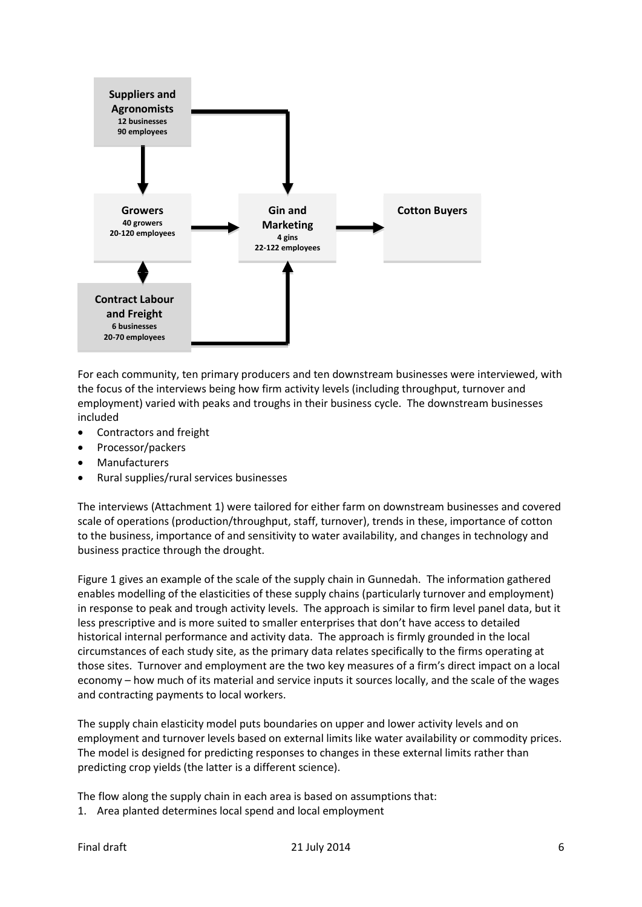

For each community, ten primary producers and ten downstream businesses were interviewed, with the focus of the interviews being how firm activity levels (including throughput, turnover and employment) varied with peaks and troughs in their business cycle. The downstream businesses included

- Contractors and freight
- Processor/packers
- Manufacturers
- Rural supplies/rural services businesses

The interviews (Attachment 1) were tailored for either farm on downstream businesses and covered scale of operations (production/throughput, staff, turnover), trends in these, importance of cotton to the business, importance of and sensitivity to water availability, and changes in technology and business practice through the drought.

Figure 1 gives an example of the scale of the supply chain in Gunnedah. The information gathered enables modelling of the elasticities of these supply chains (particularly turnover and employment) in response to peak and trough activity levels. The approach is similar to firm level panel data, but it less prescriptive and is more suited to smaller enterprises that don't have access to detailed historical internal performance and activity data. The approach is firmly grounded in the local circumstances of each study site, as the primary data relates specifically to the firms operating at those sites. Turnover and employment are the two key measures of a firm's direct impact on a local economy – how much of its material and service inputs it sources locally, and the scale of the wages and contracting payments to local workers.

The supply chain elasticity model puts boundaries on upper and lower activity levels and on employment and turnover levels based on external limits like water availability or commodity prices. The model is designed for predicting responses to changes in these external limits rather than predicting crop yields (the latter is a different science).

The flow along the supply chain in each area is based on assumptions that:

1. Area planted determines local spend and local employment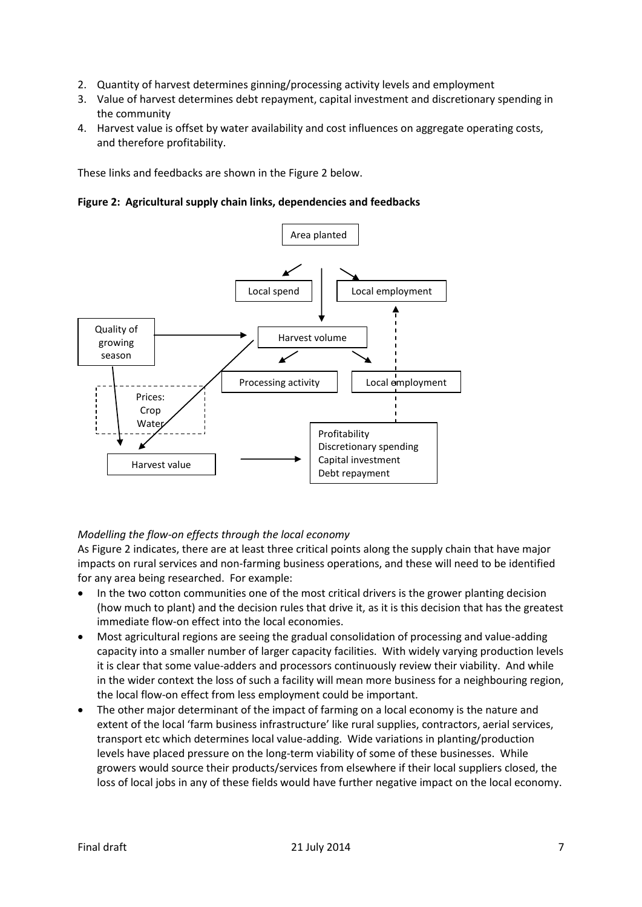- 2. Quantity of harvest determines ginning/processing activity levels and employment
- 3. Value of harvest determines debt repayment, capital investment and discretionary spending in the community
- 4. Harvest value is offset by water availability and cost influences on aggregate operating costs, and therefore profitability.

These links and feedbacks are shown in the Figure 2 below.

**Figure 2: Agricultural supply chain links, dependencies and feedbacks**



# *Modelling the flow-on effects through the local economy*

As Figure 2 indicates, there are at least three critical points along the supply chain that have major impacts on rural services and non-farming business operations, and these will need to be identified for any area being researched. For example:

- In the two cotton communities one of the most critical drivers is the grower planting decision (how much to plant) and the decision rules that drive it, as it is this decision that has the greatest immediate flow-on effect into the local economies.
- Most agricultural regions are seeing the gradual consolidation of processing and value-adding capacity into a smaller number of larger capacity facilities. With widely varying production levels it is clear that some value-adders and processors continuously review their viability. And while in the wider context the loss of such a facility will mean more business for a neighbouring region, the local flow-on effect from less employment could be important.
- The other major determinant of the impact of farming on a local economy is the nature and extent of the local 'farm business infrastructure' like rural supplies, contractors, aerial services, transport etc which determines local value-adding. Wide variations in planting/production levels have placed pressure on the long-term viability of some of these businesses. While growers would source their products/services from elsewhere if their local suppliers closed, the loss of local jobs in any of these fields would have further negative impact on the local economy.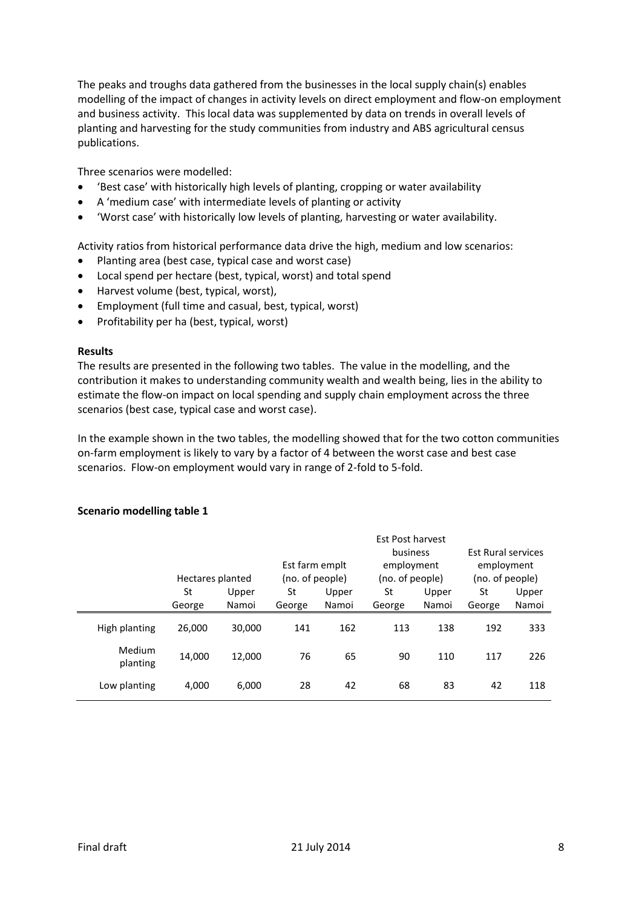The peaks and troughs data gathered from the businesses in the local supply chain(s) enables modelling of the impact of changes in activity levels on direct employment and flow-on employment and business activity. This local data was supplemented by data on trends in overall levels of planting and harvesting for the study communities from industry and ABS agricultural census publications.

Three scenarios were modelled:

- 'Best case' with historically high levels of planting, cropping or water availability
- A 'medium case' with intermediate levels of planting or activity
- 'Worst case' with historically low levels of planting, harvesting or water availability.

Activity ratios from historical performance data drive the high, medium and low scenarios:

- Planting area (best case, typical case and worst case)
- Local spend per hectare (best, typical, worst) and total spend
- Harvest volume (best, typical, worst),
- Employment (full time and casual, best, typical, worst)
- Profitability per ha (best, typical, worst)

### **Results**

The results are presented in the following two tables. The value in the modelling, and the contribution it makes to understanding community wealth and wealth being, lies in the ability to estimate the flow-on impact on local spending and supply chain employment across the three scenarios (best case, typical case and worst case).

In the example shown in the two tables, the modelling showed that for the two cotton communities on-farm employment is likely to vary by a factor of 4 between the worst case and best case scenarios. Flow-on employment would vary in range of 2-fold to 5-fold.

|                    | Hectares planted |        | Est farm emplt<br>(no. of people) |       | Est Post harvest<br>business<br>employment<br>(no. of people) |       | <b>Est Rural services</b><br>employment<br>(no. of people) |       |
|--------------------|------------------|--------|-----------------------------------|-------|---------------------------------------------------------------|-------|------------------------------------------------------------|-------|
|                    | St               | Upper  | St                                | Upper | St                                                            | Upper | St                                                         | Upper |
|                    | George           | Namoi  | George                            | Namoi | George                                                        | Namoi | George                                                     | Namoi |
| High planting      | 26,000           | 30,000 | 141                               | 162   | 113                                                           | 138   | 192                                                        | 333   |
| Medium<br>planting | 14,000           | 12,000 | 76                                | 65    | 90                                                            | 110   | 117                                                        | 226   |
| Low planting       | 4.000            | 6,000  | 28                                | 42    | 68                                                            | 83    | 42                                                         | 118   |

### **Scenario modelling table 1**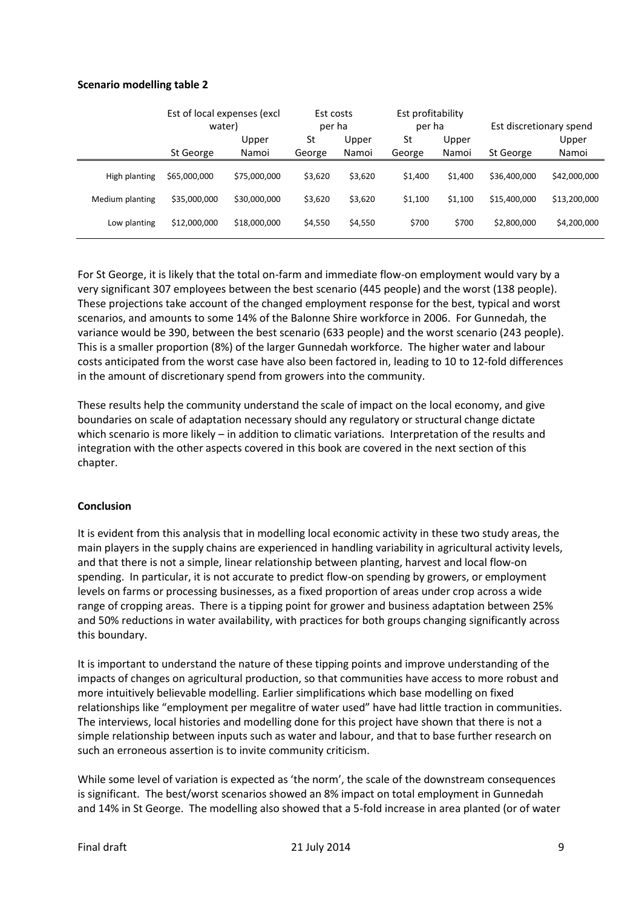## **Scenario modelling table 2**

|                 | Est of local expenses (excl<br>water) |                | Est costs<br>per ha |                | Est profitability<br>per ha |                | Est discretionary spend |                |
|-----------------|---------------------------------------|----------------|---------------------|----------------|-----------------------------|----------------|-------------------------|----------------|
|                 | St George                             | Upper<br>Namoi | St<br>George        | Upper<br>Namoi | St<br>George                | Upper<br>Namoi | St George               | Upper<br>Namoi |
| High planting   | \$65,000,000                          | \$75,000,000   | \$3,620             | \$3,620        | \$1,400                     | \$1,400        | \$36,400,000            | \$42,000,000   |
| Medium planting | \$35,000,000                          | \$30,000,000   | \$3,620             | \$3,620        | \$1,100                     | \$1,100        | \$15,400,000            | \$13,200,000   |
| Low planting    | \$12,000,000                          | \$18,000,000   | \$4,550             | \$4,550        | \$700                       | \$700          | \$2,800,000             | \$4,200,000    |

For St George, it is likely that the total on-farm and immediate flow-on employment would vary by a very significant 307 employees between the best scenario (445 people) and the worst (138 people). These projections take account of the changed employment response for the best, typical and worst scenarios, and amounts to some 14% of the Balonne Shire workforce in 2006. For Gunnedah, the variance would be 390, between the best scenario (633 people) and the worst scenario (243 people). This is a smaller proportion (8%) of the larger Gunnedah workforce. The higher water and labour costs anticipated from the worst case have also been factored in, leading to 10 to 12-fold differences in the amount of discretionary spend from growers into the community.

These results help the community understand the scale of impact on the local economy, and give boundaries on scale of adaptation necessary should any regulatory or structural change dictate which scenario is more likely – in addition to climatic variations. Interpretation of the results and integration with the other aspects covered in this book are covered in the next section of this chapter.

### **Conclusion**

It is evident from this analysis that in modelling local economic activity in these two study areas, the main players in the supply chains are experienced in handling variability in agricultural activity levels, and that there is not a simple, linear relationship between planting, harvest and local flow-on spending. In particular, it is not accurate to predict flow-on spending by growers, or employment levels on farms or processing businesses, as a fixed proportion of areas under crop across a wide range of cropping areas. There is a tipping point for grower and business adaptation between 25% and 50% reductions in water availability, with practices for both groups changing significantly across this boundary.

It is important to understand the nature of these tipping points and improve understanding of the impacts of changes on agricultural production, so that communities have access to more robust and more intuitively believable modelling. Earlier simplifications which base modelling on fixed relationships like "employment per megalitre of water used" have had little traction in communities. The interviews, local histories and modelling done for this project have shown that there is not a simple relationship between inputs such as water and labour, and that to base further research on such an erroneous assertion is to invite community criticism.

While some level of variation is expected as 'the norm', the scale of the downstream consequences is significant. The best/worst scenarios showed an 8% impact on total employment in Gunnedah and 14% in St George. The modelling also showed that a 5-fold increase in area planted (or of water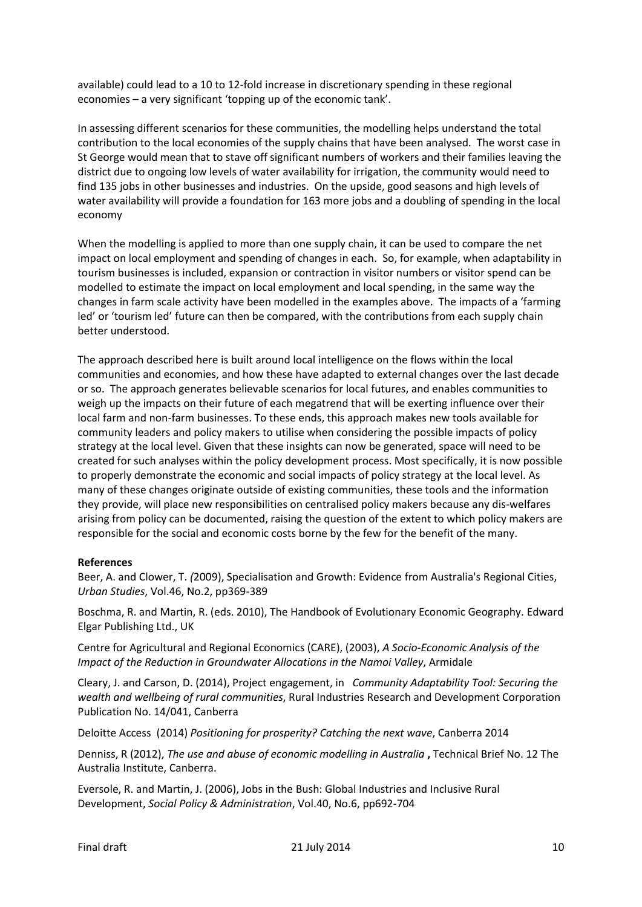available) could lead to a 10 to 12-fold increase in discretionary spending in these regional economies – a very significant 'topping up of the economic tank'.

In assessing different scenarios for these communities, the modelling helps understand the total contribution to the local economies of the supply chains that have been analysed. The worst case in St George would mean that to stave off significant numbers of workers and their families leaving the district due to ongoing low levels of water availability for irrigation, the community would need to find 135 jobs in other businesses and industries. On the upside, good seasons and high levels of water availability will provide a foundation for 163 more jobs and a doubling of spending in the local economy

When the modelling is applied to more than one supply chain, it can be used to compare the net impact on local employment and spending of changes in each. So, for example, when adaptability in tourism businesses is included, expansion or contraction in visitor numbers or visitor spend can be modelled to estimate the impact on local employment and local spending, in the same way the changes in farm scale activity have been modelled in the examples above. The impacts of a 'farming led' or 'tourism led' future can then be compared, with the contributions from each supply chain better understood.

The approach described here is built around local intelligence on the flows within the local communities and economies, and how these have adapted to external changes over the last decade or so. The approach generates believable scenarios for local futures, and enables communities to weigh up the impacts on their future of each megatrend that will be exerting influence over their local farm and non-farm businesses. To these ends, this approach makes new tools available for community leaders and policy makers to utilise when considering the possible impacts of policy strategy at the local level. Given that these insights can now be generated, space will need to be created for such analyses within the policy development process. Most specifically, it is now possible to properly demonstrate the economic and social impacts of policy strategy at the local level. As many of these changes originate outside of existing communities, these tools and the information they provide, will place new responsibilities on centralised policy makers because any dis-welfares arising from policy can be documented, raising the question of the extent to which policy makers are responsible for the social and economic costs borne by the few for the benefit of the many.

### **References**

Beer, A. and Clower, T. *(*2009), Specialisation and Growth: Evidence from Australia's Regional Cities, *Urban Studies*, Vol.46, No.2, pp369-389

Boschma, R. and Martin, R. (eds. 2010), The Handbook of Evolutionary Economic Geography. Edward Elgar Publishing Ltd., UK

Centre for Agricultural and Regional Economics (CARE), (2003), *A Socio-Economic Analysis of the Impact of the Reduction in Groundwater Allocations in the Namoi Valley*, Armidale

Cleary, J. and Carson, D. (2014), Project engagement, in *Community Adaptability Tool: Securing the wealth and wellbeing of rural communities*, Rural Industries Research and Development Corporation Publication No. 14/041, Canberra

Deloitte Access (2014) *Positioning for prosperity? Catching the next wave*, Canberra 2014

Denniss, R (2012), *The use and abuse of economic modelling in Australia* **,** Technical Brief No. 12 The Australia Institute, Canberra.

Eversole, R. and Martin, J. (2006), Jobs in the Bush: Global Industries and Inclusive Rural Development, *Social Policy & Administration*, Vol.40, No.6, pp692-704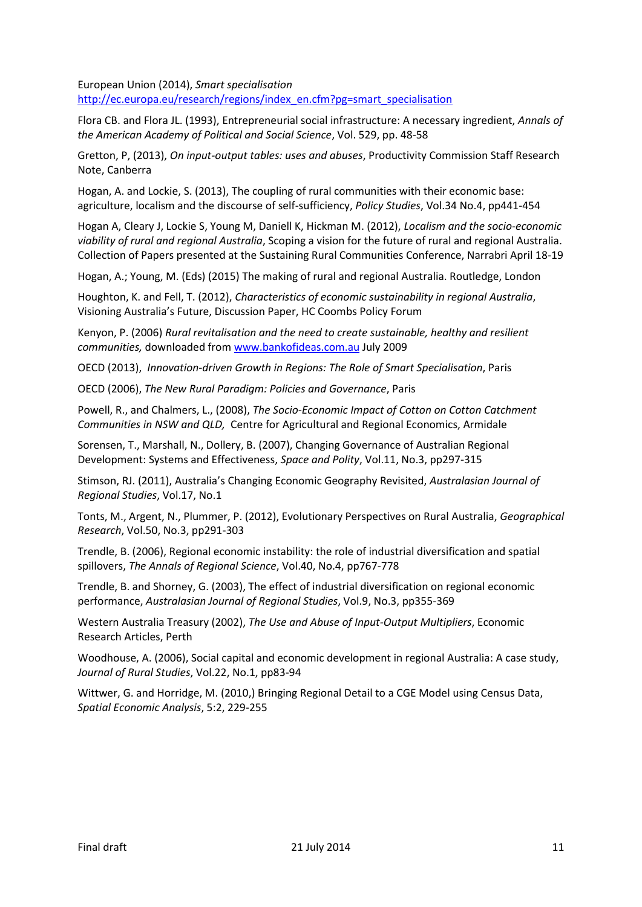European Union (2014), *Smart specialisation* [http://ec.europa.eu/research/regions/index\\_en.cfm?pg=smart\\_specialisation](http://ec.europa.eu/research/regions/index_en.cfm?pg=smart_specialisation)

Flora CB. and Flora JL. (1993), Entrepreneurial social infrastructure: A necessary ingredient, *Annals of the American Academy of Political and Social Science*, Vol. 529, pp. 48-58

Gretton, P, (2013), *On input-output tables: uses and abuses*, Productivity Commission Staff Research Note, Canberra

Hogan, A. and Lockie, S. (2013), The coupling of rural communities with their economic base: agriculture, localism and the discourse of self-sufficiency, *Policy Studies*, Vol.34 No.4, pp441-454

Hogan A, Cleary J, Lockie S, Young M, Daniell K, Hickman M. (2012), *Localism and the socio-economic viability of rural and regional Australia*, Scoping a vision for the future of rural and regional Australia. Collection of Papers presented at the Sustaining Rural Communities Conference, Narrabri April 18-19

Hogan, A.; Young, M. (Eds) (2015) The making of rural and regional Australia. Routledge, London

Houghton, K. and Fell, T. (2012), *Characteristics of economic sustainability in regional Australia*, Visioning Australia's Future, Discussion Paper, HC Coombs Policy Forum

Kenyon, P. (2006) *Rural revitalisation and the need to create sustainable, healthy and resilient communities,* downloaded from [www.bankofideas.com.au](http://www.bankofideas.com.au/) July 2009

OECD (2013), *Innovation-driven Growth in Regions: The Role of Smart Specialisation*, Paris

OECD (2006), *The New Rural Paradigm: Policies and Governance*, Paris

Powell, R., and Chalmers, L., (2008), *The Socio-Economic Impact of Cotton on Cotton Catchment Communities in NSW and QLD,* Centre for Agricultural and Regional Economics, Armidale

Sorensen, T., Marshall, N., Dollery, B. (2007), Changing Governance of Australian Regional Development: Systems and Effectiveness, *Space and Polity*, Vol.11, No.3, pp297-315

Stimson, RJ. (2011), Australia's Changing Economic Geography Revisited, *Australasian Journal of Regional Studies*, Vol.17, No.1

Tonts, M., Argent, N., Plummer, P. (2012), Evolutionary Perspectives on Rural Australia, *Geographical Research*, Vol.50, No.3, pp291-303

Trendle, B. (2006), Regional economic instability: the role of industrial diversification and spatial spillovers, *The Annals of Regional Science*, Vol.40, No.4, pp767-778

Trendle, B. and Shorney, G. (2003), The effect of industrial diversification on regional economic performance, *Australasian Journal of Regional Studies*, Vol.9, No.3, pp355-369

Western Australia Treasury (2002), *The Use and Abuse of Input-Output Multipliers*, Economic Research Articles, Perth

Woodhouse, A. (2006), Social capital and economic development in regional Australia: A case study, *Journal of Rural Studies*, Vol.22, No.1, pp83-94

Wittwer, G. and Horridge, M. (2010,) Bringing Regional Detail to a CGE Model using Census Data, *Spatial Economic Analysis*, 5:2, 229-255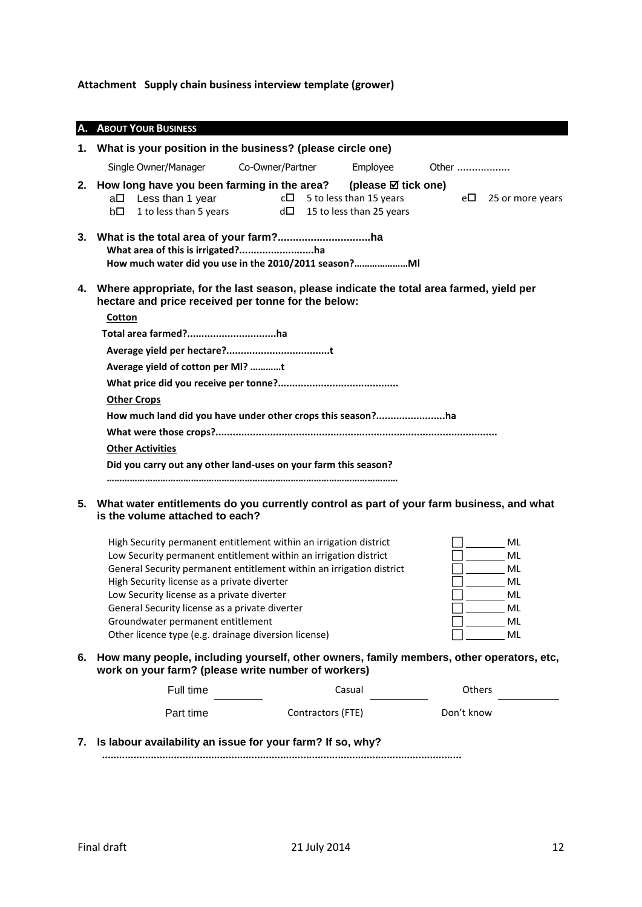**Attachment Supply chain business interview template (grower)**

| А. | <b>ABOUT YOUR BUSINESS</b>                                                                                                                                                                                                                |
|----|-------------------------------------------------------------------------------------------------------------------------------------------------------------------------------------------------------------------------------------------|
| 1. | What is your position in the business? (please circle one)                                                                                                                                                                                |
|    | Single Owner/Manager<br>Co-Owner/Partner<br>Employee<br>Other                                                                                                                                                                             |
|    | 2. How long have you been farming in the area? (please $\boxtimes$ tick one)<br>Less than 1 year<br>$c\Box$ 5 to less than 15 years<br>$e\Box$ 25 or more years<br>a□<br>1 to less than 5 years<br>$d\Box$ 15 to less than 25 years<br>bП |
|    | What area of this is irrigated?ha<br>How much water did you use in the 2010/2011 season?                                                                                                                                                  |
|    | 4. Where appropriate, for the last season, please indicate the total area farmed, yield per<br>hectare and price received per tonne for the below:                                                                                        |
|    | Cotton                                                                                                                                                                                                                                    |
|    | Total area farmed?ha                                                                                                                                                                                                                      |
|    |                                                                                                                                                                                                                                           |
|    | Average yield of cotton per MI? t                                                                                                                                                                                                         |
|    |                                                                                                                                                                                                                                           |
|    | <b>Other Crops</b>                                                                                                                                                                                                                        |
|    | How much land did you have under other crops this season?ha                                                                                                                                                                               |
|    |                                                                                                                                                                                                                                           |
|    | <b>Other Activities</b>                                                                                                                                                                                                                   |
|    | Did you carry out any other land-uses on your farm this season?                                                                                                                                                                           |
| 5. | What water entitlements do you currently control as part of your farm business, and what                                                                                                                                                  |

**is the volume attached to each?**

| High Security permanent entitlement within an irrigation district    | ML |
|----------------------------------------------------------------------|----|
| Low Security permanent entitlement within an irrigation district     | ML |
| General Security permanent entitlement within an irrigation district | ML |
| High Security license as a private diverter                          | ML |
| Low Security license as a private diverter                           | ML |
| General Security license as a private diverter                       | ML |
| Groundwater permanent entitlement                                    | ML |
| Other licence type (e.g. drainage diversion license)                 | ML |

**6. How many people, including yourself, other owners, family members, other operators, etc, work on your farm? (please write number of workers)**

| Full time | Casual            | Others     |
|-----------|-------------------|------------|
| Part time | Contractors (FTE) | Don't know |

**7. Is labour availability an issue for your farm? If so, why?**

 **.............................................................................................................................**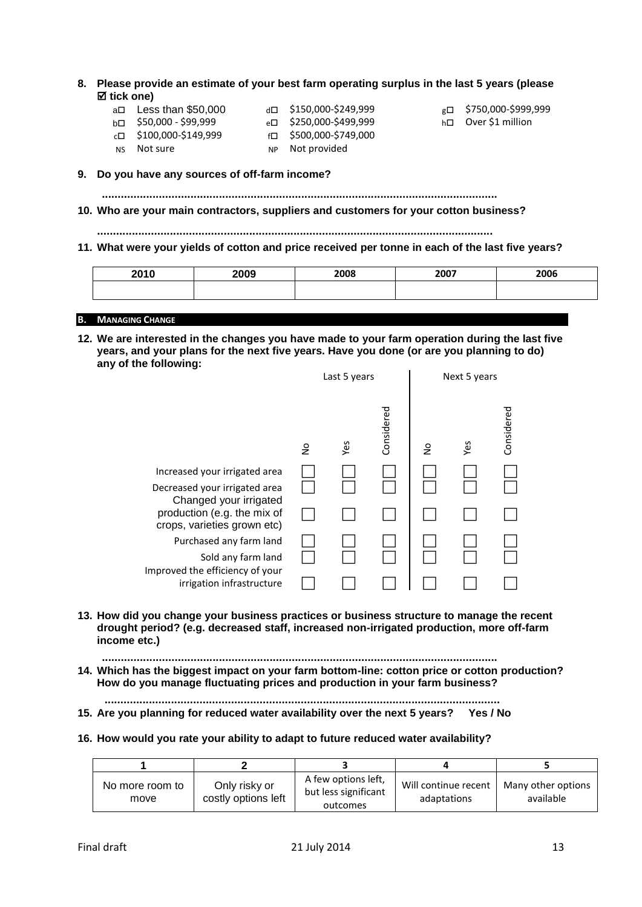- **8. Please provide an estimate of your best farm operating surplus in the last 5 years (please tick one)** 
	- b□ \$50,000 \$99,999 e□ \$250,000-\$499,999 h□ Over \$1 million
	- $a \Box$  Less than \$50,000  $a \Box$  \$150,000-\$249,999  $g \Box$  \$750,000-\$999,999  $c \Box$  \$100,000-\$149,999  $f \Box$  \$500,000-\$749,000 NS Not sure Not provided
		-
		-

**9. Do you have any sources of off-farm income?**

 **.............................................................................................................................**

**10. Who are your main contractors, suppliers and customers for your cotton business?**

**.............................................................................................................................**

**11. What were your yields of cotton and price received per tonne in each of the last five years?**

| 2040<br>1 U | 2009 | 2008 | 2007 | 2006 |
|-------------|------|------|------|------|
|             |      |      |      |      |

### **B. MANAGING CHANGE**

**12. We are interested in the changes you have made to your farm operation during the last five years, and your plans for the next five years. Have you done (or are you planning to do) any of the following:**

|                                                            | Last 5 years  |     | Next 5 years |               |     |            |
|------------------------------------------------------------|---------------|-----|--------------|---------------|-----|------------|
|                                                            | $\frac{1}{2}$ | Yes | Considered   | $\frac{1}{2}$ | Yes | Considered |
| Increased your irrigated area                              |               |     |              |               |     |            |
| Decreased your irrigated area<br>Changed your irrigated    |               |     |              |               |     |            |
| production (e.g. the mix of<br>crops, varieties grown etc) |               |     |              |               |     |            |
| Purchased any farm land                                    |               |     |              |               |     |            |
| Sold any farm land<br>Improved the efficiency of your      |               |     |              |               |     |            |
| irrigation infrastructure                                  |               |     |              |               |     |            |

- **13. How did you change your business practices or business structure to manage the recent drought period? (e.g. decreased staff, increased non-irrigated production, more off-farm income etc.)**
	- **.............................................................................................................................**
- **14. Which has the biggest impact on your farm bottom-line: cotton price or cotton production? How do you manage fluctuating prices and production in your farm business?**
- **............................................................................................................................. 15. Are you planning for reduced water availability over the next 5 years? Yes / No**

### **16. How would you rate your ability to adapt to future reduced water availability?**

| No more room to<br>move | Only risky or<br>costly options left | A few options left,<br>but less significant<br>outcomes | Will continue recent<br>adaptations | Many other options<br>available |
|-------------------------|--------------------------------------|---------------------------------------------------------|-------------------------------------|---------------------------------|